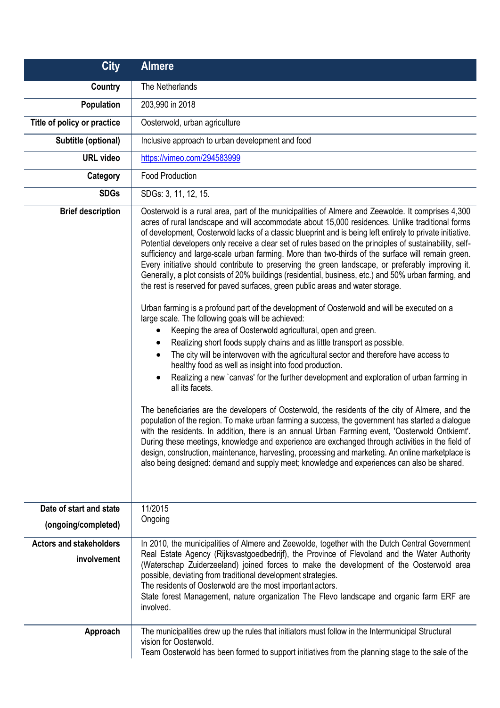| <b>City</b>                                   | <b>Almere</b>                                                                                                                                                                                                                                                                                                                                                                                                                                                                                                                                                                                                                                                                                                                                                                                                                                                                                                                                                                                                                                                                                                                                                                                                                                                                                                                                                                                                                                                                                                                                                                                                                                                                                                                                                                                                                                                                                                                                                                                                                                       |
|-----------------------------------------------|-----------------------------------------------------------------------------------------------------------------------------------------------------------------------------------------------------------------------------------------------------------------------------------------------------------------------------------------------------------------------------------------------------------------------------------------------------------------------------------------------------------------------------------------------------------------------------------------------------------------------------------------------------------------------------------------------------------------------------------------------------------------------------------------------------------------------------------------------------------------------------------------------------------------------------------------------------------------------------------------------------------------------------------------------------------------------------------------------------------------------------------------------------------------------------------------------------------------------------------------------------------------------------------------------------------------------------------------------------------------------------------------------------------------------------------------------------------------------------------------------------------------------------------------------------------------------------------------------------------------------------------------------------------------------------------------------------------------------------------------------------------------------------------------------------------------------------------------------------------------------------------------------------------------------------------------------------------------------------------------------------------------------------------------------------|
| Country                                       | The Netherlands                                                                                                                                                                                                                                                                                                                                                                                                                                                                                                                                                                                                                                                                                                                                                                                                                                                                                                                                                                                                                                                                                                                                                                                                                                                                                                                                                                                                                                                                                                                                                                                                                                                                                                                                                                                                                                                                                                                                                                                                                                     |
| Population                                    | 203,990 in 2018                                                                                                                                                                                                                                                                                                                                                                                                                                                                                                                                                                                                                                                                                                                                                                                                                                                                                                                                                                                                                                                                                                                                                                                                                                                                                                                                                                                                                                                                                                                                                                                                                                                                                                                                                                                                                                                                                                                                                                                                                                     |
| Title of policy or practice                   | Oosterwold, urban agriculture                                                                                                                                                                                                                                                                                                                                                                                                                                                                                                                                                                                                                                                                                                                                                                                                                                                                                                                                                                                                                                                                                                                                                                                                                                                                                                                                                                                                                                                                                                                                                                                                                                                                                                                                                                                                                                                                                                                                                                                                                       |
| Subtitle (optional)                           | Inclusive approach to urban development and food                                                                                                                                                                                                                                                                                                                                                                                                                                                                                                                                                                                                                                                                                                                                                                                                                                                                                                                                                                                                                                                                                                                                                                                                                                                                                                                                                                                                                                                                                                                                                                                                                                                                                                                                                                                                                                                                                                                                                                                                    |
| <b>URL</b> video                              | https://vimeo.com/294583999                                                                                                                                                                                                                                                                                                                                                                                                                                                                                                                                                                                                                                                                                                                                                                                                                                                                                                                                                                                                                                                                                                                                                                                                                                                                                                                                                                                                                                                                                                                                                                                                                                                                                                                                                                                                                                                                                                                                                                                                                         |
| Category                                      | <b>Food Production</b>                                                                                                                                                                                                                                                                                                                                                                                                                                                                                                                                                                                                                                                                                                                                                                                                                                                                                                                                                                                                                                                                                                                                                                                                                                                                                                                                                                                                                                                                                                                                                                                                                                                                                                                                                                                                                                                                                                                                                                                                                              |
| <b>SDGs</b>                                   | SDGs: 3, 11, 12, 15.                                                                                                                                                                                                                                                                                                                                                                                                                                                                                                                                                                                                                                                                                                                                                                                                                                                                                                                                                                                                                                                                                                                                                                                                                                                                                                                                                                                                                                                                                                                                                                                                                                                                                                                                                                                                                                                                                                                                                                                                                                |
| <b>Brief description</b>                      | Oosterwold is a rural area, part of the municipalities of Almere and Zeewolde. It comprises 4,300<br>acres of rural landscape and will accommodate about 15,000 residences. Unlike traditional forms<br>of development, Oosterwold lacks of a classic blueprint and is being left entirely to private initiative.<br>Potential developers only receive a clear set of rules based on the principles of sustainability, self-<br>sufficiency and large-scale urban farming. More than two-thirds of the surface will remain green.<br>Every initiative should contribute to preserving the green landscape, or preferably improving it.<br>Generally, a plot consists of 20% buildings (residential, business, etc.) and 50% urban farming, and<br>the rest is reserved for paved surfaces, green public areas and water storage.<br>Urban farming is a profound part of the development of Oosterwold and will be executed on a<br>large scale. The following goals will be achieved:<br>Keeping the area of Oosterwold agricultural, open and green.<br>Realizing short foods supply chains and as little transport as possible.<br>$\bullet$<br>The city will be interwoven with the agricultural sector and therefore have access to<br>٠<br>healthy food as well as insight into food production.<br>Realizing a new `canvas' for the further development and exploration of urban farming in<br>$\bullet$<br>all its facets.<br>The beneficiaries are the developers of Oosterwold, the residents of the city of Almere, and the<br>population of the region. To make urban farming a success, the government has started a dialogue<br>with the residents. In addition, there is an annual Urban Farming event, 'Oosterwold Ontkiemt'.<br>During these meetings, knowledge and experience are exchanged through activities in the field of<br>design, construction, maintenance, harvesting, processing and marketing. An online marketplace is<br>also being designed: demand and supply meet; knowledge and experiences can also be shared. |
| Date of start and state                       | 11/2015                                                                                                                                                                                                                                                                                                                                                                                                                                                                                                                                                                                                                                                                                                                                                                                                                                                                                                                                                                                                                                                                                                                                                                                                                                                                                                                                                                                                                                                                                                                                                                                                                                                                                                                                                                                                                                                                                                                                                                                                                                             |
| (ongoing/completed)                           | Ongoing                                                                                                                                                                                                                                                                                                                                                                                                                                                                                                                                                                                                                                                                                                                                                                                                                                                                                                                                                                                                                                                                                                                                                                                                                                                                                                                                                                                                                                                                                                                                                                                                                                                                                                                                                                                                                                                                                                                                                                                                                                             |
| <b>Actors and stakeholders</b><br>involvement | In 2010, the municipalities of Almere and Zeewolde, together with the Dutch Central Government<br>Real Estate Agency (Rijksvastgoedbedrijf), the Province of Flevoland and the Water Authority<br>(Waterschap Zuiderzeeland) joined forces to make the development of the Oosterwold area<br>possible, deviating from traditional development strategies.<br>The residents of Oosterwold are the most important actors.<br>State forest Management, nature organization The Flevo landscape and organic farm ERF are<br>involved.                                                                                                                                                                                                                                                                                                                                                                                                                                                                                                                                                                                                                                                                                                                                                                                                                                                                                                                                                                                                                                                                                                                                                                                                                                                                                                                                                                                                                                                                                                                   |
| Approach                                      | The municipalities drew up the rules that initiators must follow in the Intermunicipal Structural<br>vision for Oosterwold.<br>Team Oosterwold has been formed to support initiatives from the planning stage to the sale of the                                                                                                                                                                                                                                                                                                                                                                                                                                                                                                                                                                                                                                                                                                                                                                                                                                                                                                                                                                                                                                                                                                                                                                                                                                                                                                                                                                                                                                                                                                                                                                                                                                                                                                                                                                                                                    |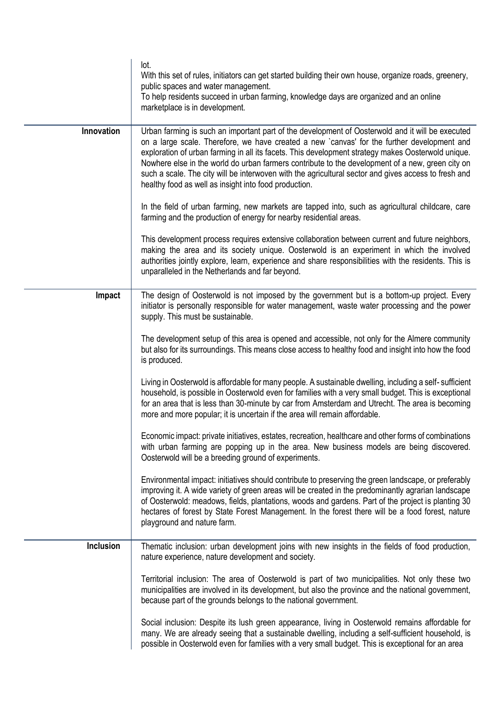|                  | lot.<br>With this set of rules, initiators can get started building their own house, organize roads, greenery,<br>public spaces and water management.<br>To help residents succeed in urban farming, knowledge days are organized and an online<br>marketplace is in development.                                                                                                                                                                                                                                                                                          |
|------------------|----------------------------------------------------------------------------------------------------------------------------------------------------------------------------------------------------------------------------------------------------------------------------------------------------------------------------------------------------------------------------------------------------------------------------------------------------------------------------------------------------------------------------------------------------------------------------|
| Innovation       | Urban farming is such an important part of the development of Oosterwold and it will be executed<br>on a large scale. Therefore, we have created a new 'canvas' for the further development and<br>exploration of urban farming in all its facets. This development strategy makes Oosterwold unique.<br>Nowhere else in the world do urban farmers contribute to the development of a new, green city on<br>such a scale. The city will be interwoven with the agricultural sector and gives access to fresh and<br>healthy food as well as insight into food production. |
|                  | In the field of urban farming, new markets are tapped into, such as agricultural childcare, care<br>farming and the production of energy for nearby residential areas.                                                                                                                                                                                                                                                                                                                                                                                                     |
|                  | This development process requires extensive collaboration between current and future neighbors,<br>making the area and its society unique. Oosterwold is an experiment in which the involved<br>authorities jointly explore, learn, experience and share responsibilities with the residents. This is<br>unparalleled in the Netherlands and far beyond.                                                                                                                                                                                                                   |
| Impact           | The design of Oosterwold is not imposed by the government but is a bottom-up project. Every<br>initiator is personally responsible for water management, waste water processing and the power<br>supply. This must be sustainable.                                                                                                                                                                                                                                                                                                                                         |
|                  | The development setup of this area is opened and accessible, not only for the Almere community<br>but also for its surroundings. This means close access to healthy food and insight into how the food<br>is produced.                                                                                                                                                                                                                                                                                                                                                     |
|                  | Living in Oosterwold is affordable for many people. A sustainable dwelling, including a self-sufficient<br>household, is possible in Oosterwold even for families with a very small budget. This is exceptional<br>for an area that is less than 30-minute by car from Amsterdam and Utrecht. The area is becoming<br>more and more popular; it is uncertain if the area will remain affordable.                                                                                                                                                                           |
|                  | Economic impact: private initiatives, estates, recreation, healthcare and other forms of combinations<br>with urban farming are popping up in the area. New business models are being discovered.<br>Oosterwold will be a breeding ground of experiments.                                                                                                                                                                                                                                                                                                                  |
|                  | Environmental impact: initiatives should contribute to preserving the green landscape, or preferably<br>improving it. A wide variety of green areas will be created in the predominantly agrarian landscape<br>of Oosterwold: meadows, fields, plantations, woods and gardens. Part of the project is planting 30<br>hectares of forest by State Forest Management. In the forest there will be a food forest, nature<br>playground and nature farm.                                                                                                                       |
| <b>Inclusion</b> | Thematic inclusion: urban development joins with new insights in the fields of food production,<br>nature experience, nature development and society.                                                                                                                                                                                                                                                                                                                                                                                                                      |
|                  | Territorial inclusion: The area of Oosterwold is part of two municipalities. Not only these two<br>municipalities are involved in its development, but also the province and the national government,<br>because part of the grounds belongs to the national government.                                                                                                                                                                                                                                                                                                   |
|                  | Social inclusion: Despite its lush green appearance, living in Oosterwold remains affordable for<br>many. We are already seeing that a sustainable dwelling, including a self-sufficient household, is<br>possible in Oosterwold even for families with a very small budget. This is exceptional for an area                                                                                                                                                                                                                                                               |